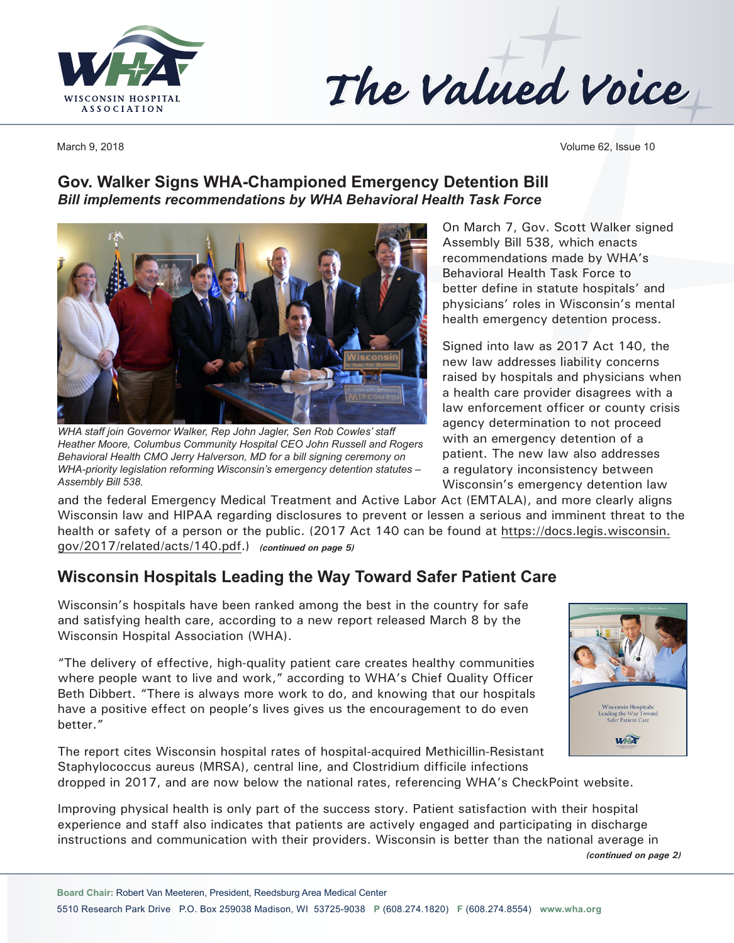



March 9, 2018 Volume 62, Issue 10

## **Gov. Walker Signs WHA-Championed Emergency Detention Bill** *Bill implements recommendations by WHA Behavioral Health Task Force*



*WHA staff join Governor Walker, Rep John Jagler, Sen Rob Cowles' staff Heather Moore, Columbus Community Hospital CEO John Russell and Rogers Behavioral Health CMO Jerry Halverson, MD for a bill signing ceremony on WHA-priority legislation reforming Wisconsin's emergency detention statutes – Assembly Bill 538.* 

On March 7, Gov. Scott Walker signed Assembly Bill 538, which enacts recommendations made by WHA's Behavioral Health Task Force to better define in statute hospitals' and physicians' roles in Wisconsin's mental health emergency detention process.

Signed into law as 2017 Act 140, the new law addresses liability concerns raised by hospitals and physicians when a health care provider disagrees with a law enforcement officer or county crisis agency determination to not proceed with an emergency detention of a patient. The new law also addresses a regulatory inconsistency between Wisconsin's emergency detention law

and the federal Emergency Medical Treatment and Active Labor Act (EMTALA), and more clearly aligns Wisconsin law and HIPAA regarding disclosures to prevent or lessen a serious and imminent threat to the health or safety of a person or the public. (2017 Act 140 can be found at https://docs.legis.wisconsin. gov/2017/related/acts/140.pdf.) *(continued on page 5)*

# **Wisconsin Hospitals Leading the Way Toward Safer Patient Care**

Wisconsin's hospitals have been ranked among the best in the country for safe and satisfying health care, according to a new report released March 8 by the Wisconsin Hospital Association (WHA).

"The delivery of effective, high-quality patient care creates healthy communities where people want to live and work," according to WHA's Chief Quality Officer Beth Dibbert. "There is always more work to do, and knowing that our hospitals have a positive effect on people's lives gives us the encouragement to do even better."



The report cites Wisconsin hospital rates of hospital-acquired Methicillin-Resistant Staphylococcus aureus (MRSA), central line, and Clostridium difficile infections dropped in 2017, and are now below the national rates, referencing WHA's CheckPoint website.

Improving physical health is only part of the success story. Patient satisfaction with their hospital experience and staff also indicates that patients are actively engaged and participating in discharge instructions and communication with their providers. Wisconsin is better than the national average in

*(continued on page 2)*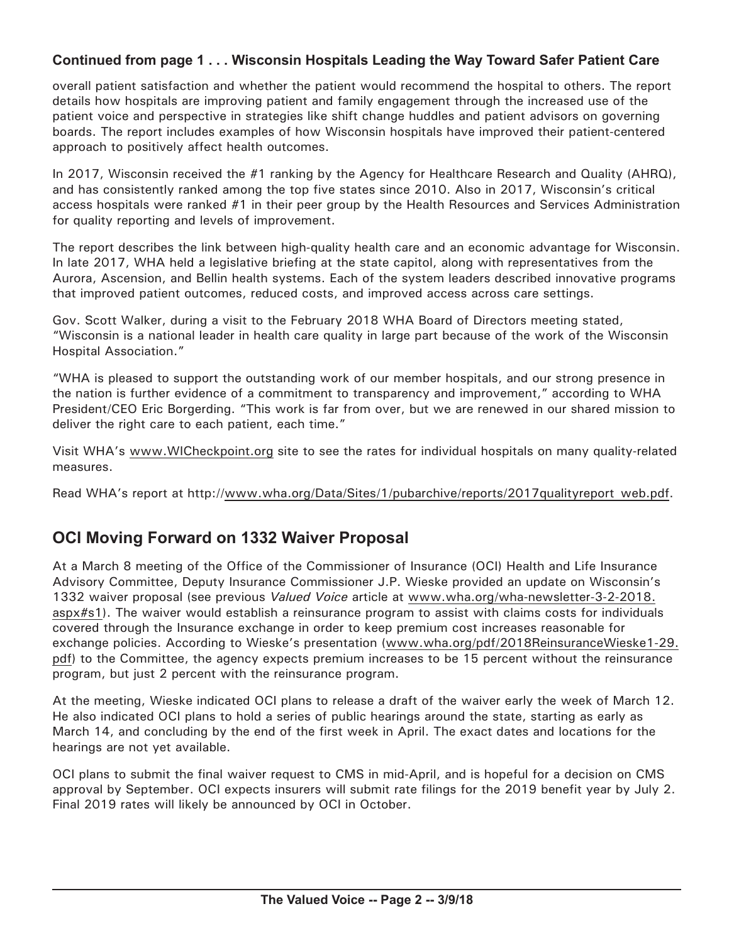## **Continued from page 1 . . . Wisconsin Hospitals Leading the Way Toward Safer Patient Care**

overall patient satisfaction and whether the patient would recommend the hospital to others. The report details how hospitals are improving patient and family engagement through the increased use of the patient voice and perspective in strategies like shift change huddles and patient advisors on governing boards. The report includes examples of how Wisconsin hospitals have improved their patient-centered approach to positively affect health outcomes.

In 2017, Wisconsin received the #1 ranking by the Agency for Healthcare Research and Quality (AHRQ), and has consistently ranked among the top five states since 2010. Also in 2017, Wisconsin's critical access hospitals were ranked #1 in their peer group by the Health Resources and Services Administration for quality reporting and levels of improvement.

The report describes the link between high-quality health care and an economic advantage for Wisconsin. In late 2017, WHA held a legislative briefing at the state capitol, along with representatives from the Aurora, Ascension, and Bellin health systems. Each of the system leaders described innovative programs that improved patient outcomes, reduced costs, and improved access across care settings.

Gov. Scott Walker, during a visit to the February 2018 WHA Board of Directors meeting stated, "Wisconsin is a national leader in health care quality in large part because of the work of the Wisconsin Hospital Association."

"WHA is pleased to support the outstanding work of our member hospitals, and our strong presence in the nation is further evidence of a commitment to transparency and improvement," according to WHA President/CEO Eric Borgerding. "This work is far from over, but we are renewed in our shared mission to deliver the right care to each patient, each time."

Visit WHA's [www.WICheckpoint.org](http://www.WICheckpoint.org) site to see the rates for individual hospitals on many quality-related measures.

Read WHA's report at [http://www.wha.org/Data/Sites/1/pubarchive/reports/2017qualityreport\\_web.pdf.](http://www.wha.org/Data/Sites/1/pubarchive/reports/2017qualityreport_web.pdf)

## **OCI Moving Forward on 1332 Waiver Proposal**

At a March 8 meeting of the Office of the Commissioner of Insurance (OCI) Health and Life Insurance Advisory Committee, Deputy Insurance Commissioner J.P. Wieske provided an update on Wisconsin's 1332 waiver proposal (see previous *Valued Voice* article at [www.wha.org/wha-newsletter-3-2-2018.](http://www.wha.org/wha-newsletter-3-2-2018.aspx#s1) [aspx#](http://www.wha.org/wha-newsletter-3-2-2018.aspx#s1)s1). The waiver would establish a reinsurance program to assist with claims costs for individuals covered through the Insurance exchange in order to keep premium cost increases reasonable for exchange policies. According to Wieske's presentation [\(www.wha.org/pdf/2018ReinsuranceWieske1-29.](http://www.wha.org/pdf/2018ReinsuranceWieske1-29.pdf) [pdf\)](http://www.wha.org/pdf/2018ReinsuranceWieske1-29.pdf) to the Committee, the agency expects premium increases to be 15 percent without the reinsurance program, but just 2 percent with the reinsurance program.

At the meeting, Wieske indicated OCI plans to release a draft of the waiver early the week of March 12. He also indicated OCI plans to hold a series of public hearings around the state, starting as early as March 14, and concluding by the end of the first week in April. The exact dates and locations for the hearings are not yet available.

OCI plans to submit the final waiver request to CMS in mid-April, and is hopeful for a decision on CMS approval by September. OCI expects insurers will submit rate filings for the 2019 benefit year by July 2. Final 2019 rates will likely be announced by OCI in October.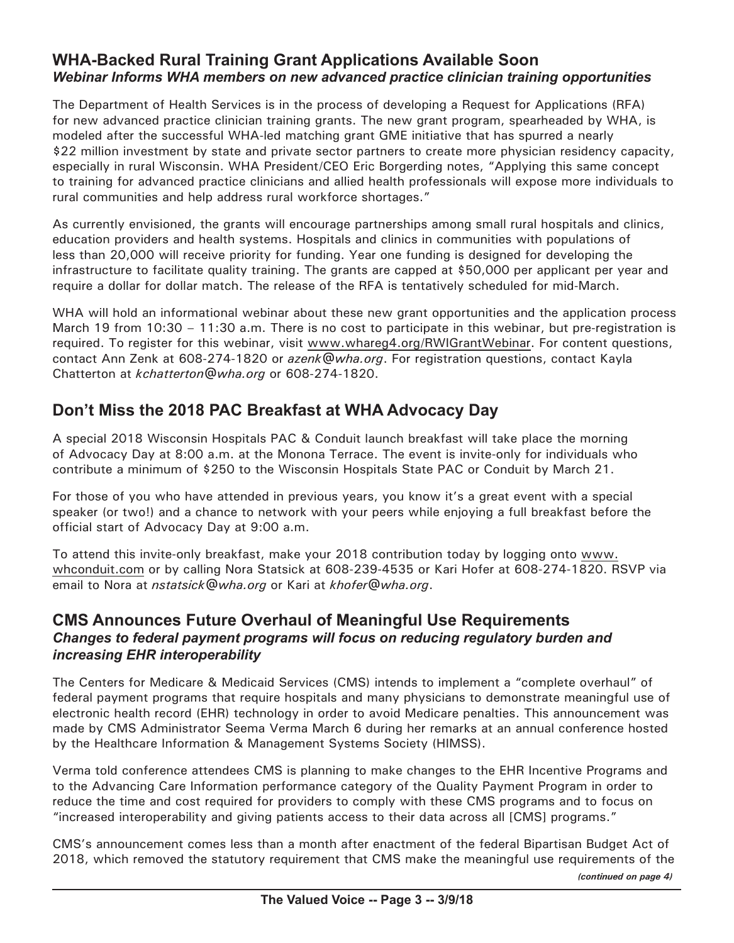## **WHA-Backed Rural Training Grant Applications Available Soon** *Webinar Informs WHA members on new advanced practice clinician training opportunities*

The Department of Health Services is in the process of developing a Request for Applications (RFA) for new advanced practice clinician training grants. The new grant program, spearheaded by WHA, is modeled after the successful WHA-led matching grant GME initiative that has spurred a nearly \$22 million investment by state and private sector partners to create more physician residency capacity, especially in rural Wisconsin. WHA President/CEO Eric Borgerding notes, "Applying this same concept to training for advanced practice clinicians and allied health professionals will expose more individuals to rural communities and help address rural workforce shortages."

As currently envisioned, the grants will encourage partnerships among small rural hospitals and clinics, education providers and health systems. Hospitals and clinics in communities with populations of less than 20,000 will receive priority for funding. Year one funding is designed for developing the infrastructure to facilitate quality training. The grants are capped at \$50,000 per applicant per year and require a dollar for dollar match. The release of the RFA is tentatively scheduled for mid-March.

WHA will hold an informational webinar about these new grant opportunities and the application process March 19 from 10:30 – 11:30 a.m. There is no cost to participate in this webinar, but pre-registration is required. To register for this webinar, visit [www.whareg4.org/RWIGrantWebinar.](http://www.whareg4.org/RWIGrantWebinar) For content questions, contact Ann Zenk at 608-274-1820 or *[azenk@wha.org](mailto:azenk@wha.org)*. For registration questions, contact Kayla Chatterton at *[kchatterton@wha.org](mailto:kchatterton@wha.org)* or 608-274-1820.

# **Don't Miss the 2018 PAC Breakfast at WHA Advocacy Day**

A special 2018 Wisconsin Hospitals PAC & Conduit launch breakfast will take place the morning of Advocacy Day at 8:00 a.m. at the Monona Terrace. The event is invite-only for individuals who contribute a minimum of \$250 to the Wisconsin Hospitals State PAC or Conduit by March 21.

For those of you who have attended in previous years, you know it's a great event with a special speaker (or two!) and a chance to network with your peers while enjoying a full breakfast before the official start of Advocacy Day at 9:00 a.m.

To attend this invite-only breakfast, make your 2018 contribution today by logging onto [www.](http://www.whconduit.com) [whconduit.com](http://www.whconduit.com) or by calling Nora Statsick at 608-239-4535 or Kari Hofer at 608-274-1820. RSVP via email to Nora at *[nstatsick@wha.org](mailto:nstatsick@wha.org)* or Kari at *[khofer@wha.org](mailto:khofer@wha.org)*.

### **CMS Announces Future Overhaul of Meaningful Use Requirements** *Changes to federal payment programs will focus on reducing regulatory burden and increasing EHR interoperability*

The Centers for Medicare & Medicaid Services (CMS) intends to implement a "complete overhaul" of federal payment programs that require hospitals and many physicians to demonstrate meaningful use of electronic health record (EHR) technology in order to avoid Medicare penalties. This announcement was made by CMS Administrator Seema Verma March 6 during her remarks at an annual conference hosted by the Healthcare Information & Management Systems Society (HIMSS).

Verma told conference attendees CMS is planning to make changes to the EHR Incentive Programs and to the Advancing Care Information performance category of the Quality Payment Program in order to reduce the time and cost required for providers to comply with these CMS programs and to focus on "increased interoperability and giving patients access to their data across all [CMS] programs."

CMS's announcement comes less than a month after enactment of the federal Bipartisan Budget Act of 2018, which removed the statutory requirement that CMS make the meaningful use requirements of the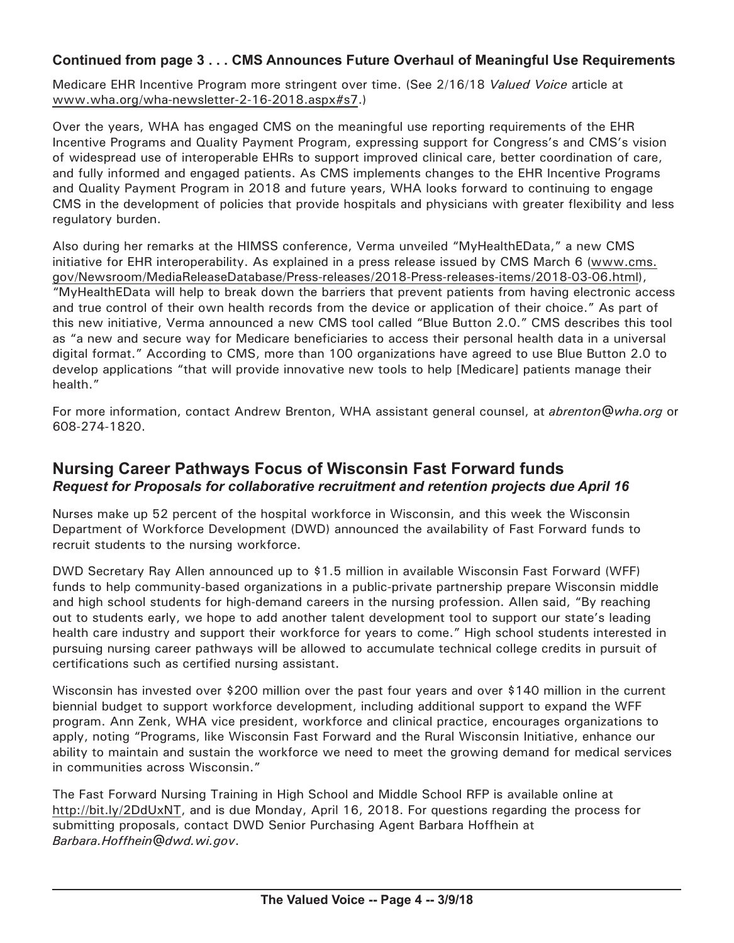#### **Continued from page 3 . . . CMS Announces Future Overhaul of Meaningful Use Requirements**

Medicare EHR Incentive Program more stringent over time. (See 2/16/18 *Valued Voice* article at [www.wha.org/wha-newsletter-2-16-2018.aspx](http://www.wha.org/wha-newsletter-2-16-2018.aspx#s7)#s7.)

Over the years, WHA has engaged CMS on the meaningful use reporting requirements of the EHR Incentive Programs and Quality Payment Program, expressing support for Congress's and CMS's vision of widespread use of interoperable EHRs to support improved clinical care, better coordination of care, and fully informed and engaged patients. As CMS implements changes to the EHR Incentive Programs and Quality Payment Program in 2018 and future years, WHA looks forward to continuing to engage CMS in the development of policies that provide hospitals and physicians with greater flexibility and less regulatory burden.

Also during her remarks at the HIMSS conference, Verma unveiled "MyHealthEData," a new CMS initiative for EHR interoperability. As explained in a press release issued by CMS March 6 [\(www.cms.](http://www.cms.gov/Newsroom/MediaReleaseDatabase/Press-releases/2018-Press-releases-items/2018-03-06.html) [gov/Newsroom/MediaReleaseDatabase/Press-releases/2018-Press-releases-items/2018-03-06.html](http://www.cms.gov/Newsroom/MediaReleaseDatabase/Press-releases/2018-Press-releases-items/2018-03-06.html)), "MyHealthEData will help to break down the barriers that prevent patients from having electronic access and true control of their own health records from the device or application of their choice." As part of this new initiative, Verma announced a new CMS tool called "Blue Button 2.0." CMS describes this tool as "a new and secure way for Medicare beneficiaries to access their personal health data in a universal digital format." According to CMS, more than 100 organizations have agreed to use Blue Button 2.0 to develop applications "that will provide innovative new tools to help [Medicare] patients manage their health."

For more information, contact Andrew Brenton, WHA assistant general counsel, at *[abrenton@wha.org](mailto:abrenton@wha.org)* or 608-274-1820.

## **Nursing Career Pathways Focus of Wisconsin Fast Forward funds** *Request for Proposals for collaborative recruitment and retention projects due April 16*

Nurses make up 52 percent of the hospital workforce in Wisconsin, and this week the Wisconsin Department of Workforce Development (DWD) announced the availability of Fast Forward funds to recruit students to the nursing workforce.

DWD Secretary Ray Allen announced up to \$1.5 million in available Wisconsin Fast Forward (WFF) funds to help community-based organizations in a public-private partnership prepare Wisconsin middle and high school students for high-demand careers in the nursing profession. Allen said, "By reaching out to students early, we hope to add another talent development tool to support our state's leading health care industry and support their workforce for years to come." High school students interested in pursuing nursing career pathways will be allowed to accumulate technical college credits in pursuit of certifications such as certified nursing assistant.

Wisconsin has invested over \$200 million over the past four years and over \$140 million in the current biennial budget to support workforce development, including additional support to expand the WFF program. Ann Zenk, WHA vice president, workforce and clinical practice, encourages organizations to apply, noting "Programs, like Wisconsin Fast Forward and the Rural Wisconsin Initiative, enhance our ability to maintain and sustain the workforce we need to meet the growing demand for medical services in communities across Wisconsin."

The Fast Forward Nursing Training in High School and Middle School RFP is available online at [http://bit.ly/2DdUxNT,](http://bit.ly/2DdUxNT) and is due Monday, April 16, 2018. For questions regarding the process for submitting proposals, contact DWD Senior Purchasing Agent Barbara Hoffhein at *[Barbara.Hoffhein@dwd.wi.gov](mailto:Barbara.Hoffhein@dwd.wi.gov)*.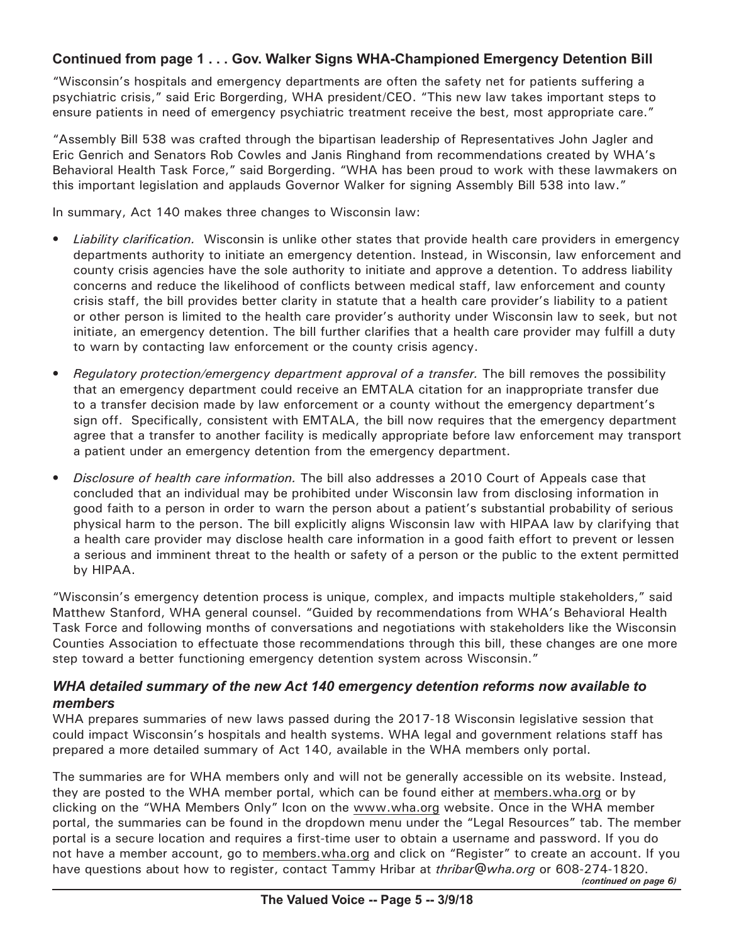## **Continued from page 1 . . . Gov. Walker Signs WHA-Championed Emergency Detention Bill**

"Wisconsin's hospitals and emergency departments are often the safety net for patients suffering a psychiatric crisis," said Eric Borgerding, WHA president/CEO. "This new law takes important steps to ensure patients in need of emergency psychiatric treatment receive the best, most appropriate care."

"Assembly Bill 538 was crafted through the bipartisan leadership of Representatives John Jagler and Eric Genrich and Senators Rob Cowles and Janis Ringhand from recommendations created by WHA's Behavioral Health Task Force," said Borgerding. "WHA has been proud to work with these lawmakers on this important legislation and applauds Governor Walker for signing Assembly Bill 538 into law."

In summary, Act 140 makes three changes to Wisconsin law:

- *• Liability clarification.* Wisconsin is unlike other states that provide health care providers in emergency departments authority to initiate an emergency detention. Instead, in Wisconsin, law enforcement and county crisis agencies have the sole authority to initiate and approve a detention. To address liability concerns and reduce the likelihood of conflicts between medical staff, law enforcement and county crisis staff, the bill provides better clarity in statute that a health care provider's liability to a patient or other person is limited to the health care provider's authority under Wisconsin law to seek, but not initiate, an emergency detention. The bill further clarifies that a health care provider may fulfill a duty to warn by contacting law enforcement or the county crisis agency.
- *• Regulatory protection/emergency department approval of a transfer.* The bill removes the possibility that an emergency department could receive an EMTALA citation for an inappropriate transfer due to a transfer decision made by law enforcement or a county without the emergency department's sign off. Specifically, consistent with EMTALA, the bill now requires that the emergency department agree that a transfer to another facility is medically appropriate before law enforcement may transport a patient under an emergency detention from the emergency department.
- *• Disclosure of health care information.* The bill also addresses a 2010 Court of Appeals case that concluded that an individual may be prohibited under Wisconsin law from disclosing information in good faith to a person in order to warn the person about a patient's substantial probability of serious physical harm to the person. The bill explicitly aligns Wisconsin law with HIPAA law by clarifying that a health care provider may disclose health care information in a good faith effort to prevent or lessen a serious and imminent threat to the health or safety of a person or the public to the extent permitted by HIPAA.

"Wisconsin's emergency detention process is unique, complex, and impacts multiple stakeholders," said Matthew Stanford, WHA general counsel. "Guided by recommendations from WHA's Behavioral Health Task Force and following months of conversations and negotiations with stakeholders like the Wisconsin Counties Association to effectuate those recommendations through this bill, these changes are one more step toward a better functioning emergency detention system across Wisconsin."

#### *WHA detailed summary of the new Act 140 emergency detention reforms now available to members*

WHA prepares summaries of new laws passed during the 2017-18 Wisconsin legislative session that could impact Wisconsin's hospitals and health systems. WHA legal and government relations staff has prepared a more detailed summary of Act 140, available in the WHA members only portal.

The summaries are for WHA members only and will not be generally accessible on its website. Instead, they are posted to the WHA member portal, which can be found either at [members.wha.org](http://members.wha.org) or by clicking on the "WHA Members Only" Icon on the [www.wha.org](http://www.wha.org) website. Once in the WHA member portal, the summaries can be found in the dropdown menu under the "Legal Resources" tab. The member portal is a secure location and requires a first-time user to obtain a username and password. If you do not have a member account, go to [members.wha.org](http://members.wha.org) and click on "Register" to create an account. If you have questions about how to register, contact Tammy Hribar at *[thribar@wha.org](mailto:thribar@wha.org)* or 608-274-1820.